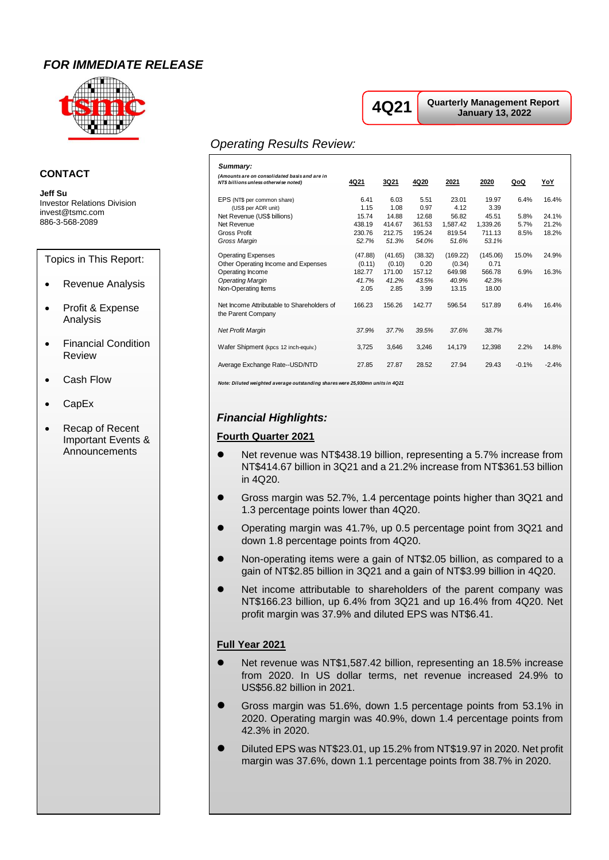# *FOR IMMEDIATE RELEASE*



#### **CONTACT**

**Jeff Su** Investor Relations Division invest@tsmc.com 886-3-568-2089

Topics in This Report:

- Revenue Analysis
- Profit & Expense Analysis
- Financial Condition Review
- Cash Flow
- CapEx
- Recap of Recent Important Events & Announcements

# **4Q21**

**Quarterly Management Report January 13, 2022**

# *Operating Results Review:*

| ٠J                                                                                     |                            |                            |                           |                             |                             |                      |                         |
|----------------------------------------------------------------------------------------|----------------------------|----------------------------|---------------------------|-----------------------------|-----------------------------|----------------------|-------------------------|
| Summary:                                                                               |                            |                            |                           |                             |                             |                      |                         |
| (Amounts are on consolidated basis and are in<br>NT\$ billions unless otherwise noted) | <u>4Q21</u>                | <u>3Q21</u>                | 4Q20                      | 2021                        | 2020                        | <u>QoQ</u>           | <u>YoY</u>              |
| EPS (NT\$ per common share)<br>(US\$ per ADR unit)                                     | 6.41<br>1.15               | 6.03<br>1.08               | 5.51<br>0.97              | 23.01<br>4.12               | 19.97<br>3.39               | 6.4%                 | 16.4%                   |
| Net Revenue (US\$ billions)<br>Net Revenue<br><b>Gross Profit</b>                      | 15.74<br>438.19<br>230.76  | 14.88<br>414.67<br>212.75  | 12.68<br>361.53<br>195.24 | 56.82<br>1,587.42<br>819.54 | 45.51<br>1.339.26<br>711.13 | 5.8%<br>5.7%<br>8.5% | 24.1%<br>21.2%<br>18.2% |
| Gross Margin<br><b>Operating Expenses</b><br>Other Operating Income and Expenses       | 52.7%<br>(47.88)<br>(0.11) | 51.3%<br>(41.65)<br>(0.10) | 54.0%<br>(38.32)<br>0.20  | 51.6%<br>(169.22)<br>(0.34) | 53.1%<br>(145.06)<br>0.71   | 15.0%                | 24.9%                   |
| Operating Income<br><b>Operating Margin</b><br>Non-Operating Items                     | 182.77<br>41.7%<br>2.05    | 171.00<br>41.2%<br>2.85    | 157.12<br>43.5%<br>3.99   | 649.98<br>40.9%<br>13.15    | 566.78<br>42.3%<br>18.00    | 6.9%                 | 16.3%                   |
| Net Income Attributable to Shareholders of<br>the Parent Company                       | 166.23                     | 156.26                     | 142.77                    | 596.54                      | 517.89                      | 6.4%                 | 16.4%                   |
| <b>Net Profit Margin</b>                                                               | 37.9%                      | 37.7%                      | 39.5%                     | 37.6%                       | 38.7%                       |                      |                         |
| Wafer Shipment (kpcs 12 inch-equiv.)                                                   | 3,725                      | 3,646                      | 3,246                     | 14,179                      | 12,398                      | 2.2%                 | 14.8%                   |
| Average Exchange Rate--USD/NTD                                                         | 27.85                      | 27.87                      | 28.52                     | 27.94                       | 29.43                       | $-0.1%$              | $-2.4%$                 |

*Note: Diluted weighted average outstanding shares were 25,930mn units in 4Q21*

# *Financial Highlights:*

#### **Fourth Quarter 2021**

- Net revenue was NT\$438.19 billion, representing a 5.7% increase from NT\$414.67 billion in 3Q21 and a 21.2% increase from NT\$361.53 billion in 4Q20.
- Gross margin was 52.7%, 1.4 percentage points higher than 3Q21 and 1.3 percentage points lower than 4Q20.
- ⚫ Operating margin was 41.7%, up 0.5 percentage point from 3Q21 and down 1.8 percentage points from 4Q20.
- ⚫ Non-operating items were a gain of NT\$2.05 billion, as compared to a gain of NT\$2.85 billion in 3Q21 and a gain of NT\$3.99 billion in 4Q20.
- Net income attributable to shareholders of the parent company was NT\$166.23 billion, up 6.4% from 3Q21 and up 16.4% from 4Q20. Net profit margin was 37.9% and diluted EPS was NT\$6.41.

#### **Full Year 2021**

- Net revenue was NT\$1,587.42 billion, representing an 18.5% increase from 2020. In US dollar terms, net revenue increased 24.9% to US\$56.82 billion in 2021.
- Gross margin was 51.6%, down 1.5 percentage points from 53.1% in 2020. Operating margin was 40.9%, down 1.4 percentage points from 42.3% in 2020.
- ⚫ Diluted EPS was NT\$23.01, up 15.2% from NT\$19.97 in 2020. Net profit margin was 37.6%, down 1.1 percentage points from 38.7% in 2020.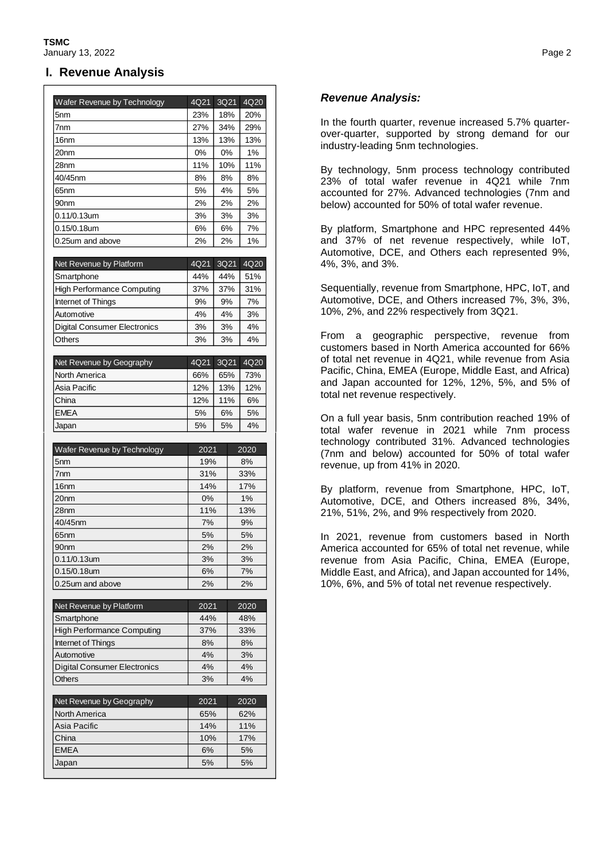#### **I. Revenue Analysis**

| Wafer Revenue by Technology       | 4Q21  | 3Q21 | 4Q20 |
|-----------------------------------|-------|------|------|
| 5nm                               | 23%   | 18%  | 20%  |
| 7nm                               | 27%   | 34%  | 29%  |
| 16 <sub>nm</sub>                  | 13%   | 13%  | 13%  |
| 20nm                              | $0\%$ | 0%   | 1%   |
| 28nm                              | 11%   | 10%  | 11%  |
| 40/45nm                           | 8%    | 8%   | 8%   |
| 65nm                              | 5%    | 4%   | 5%   |
| 90nm                              | 2%    | 2%   | 2%   |
| 0.11/0.13um                       | 3%    | 3%   | 3%   |
| 0.15/0.18um                       | 6%    | 6%   | 7%   |
| 0.25um and above                  | 2%    | 2%   | 1%   |
|                                   |       |      |      |
| Net Revenue by Platform           | 4Q21  | 3Q21 | 4020 |
| Smartphone                        | 44%   | 44%  | 51%  |
| <b>High Performance Computing</b> | 37%   | 37%  | 31%  |

| 9% | 9% | 7% |
|----|----|----|
| 4% | 4% | 3% |
| 3% | 3% | 4% |
| 3% | 3% | 4% |
|    | .  |    |

| Net Revenue by Geography | 4Q21 | 3Q21 | 4Q20 |
|--------------------------|------|------|------|
| North America            | 66%  | 65%  | 73%  |
| Asia Pacific             | 12%  | 13%  | 12%  |
| China                    | 12%  | 11%  | 6%   |
| <b>EMEA</b>              | 5%   | 6%   | 5%   |
| Japan                    | 5%   | 5%   | 4%   |

| Wafer Revenue by Technology | 2021  | 2020  |
|-----------------------------|-------|-------|
| 5 <sub>nm</sub>             | 19%   | 8%    |
| 7 <sub>nm</sub>             | 31%   | 33%   |
| 16 <sub>nm</sub>            | 14%   | 17%   |
| 20 <sub>nm</sub>            | $0\%$ | $1\%$ |
| 28nm                        | 11%   | 13%   |
| 40/45nm                     | 7%    | 9%    |
| 65 <sub>nm</sub>            | 5%    | 5%    |
| 90 <sub>nm</sub>            | 2%    | 2%    |
| 0.11/0.13um                 | 3%    | 3%    |
| 0.15/0.18um                 | 6%    | 7%    |
| 0.25 um and above           | 2%    | 2%    |

| Net Revenue by Platform             | 2021 | 2020 |
|-------------------------------------|------|------|
| Smartphone                          | 44%  | 48%  |
| <b>High Performance Computing</b>   | 37%  | 33%  |
| Internet of Things                  | 8%   | 8%   |
| Automotive                          | 4%   | 3%   |
| <b>Digital Consumer Electronics</b> | 4%   | 4%   |
| <b>Others</b>                       | 3%   | 4%   |
|                                     |      |      |
| Net Revenue by Geography            | 2021 | 2020 |
| North America                       | 65%  | 62%  |
| Asia Pacific                        | 14%  | 11%  |
| China                               | 10%  | 17%  |
| <b>EMEA</b>                         | 6%   | 5%   |
| Japan                               | 5%   | 5%   |

# *Revenue Analysis:*

In the fourth quarter, revenue increased 5.7% quarterover-quarter, supported by strong demand for our industry-leading 5nm technologies.

By technology, 5nm process technology contributed 23% of total wafer revenue in 4Q21 while 7nm accounted for 27%. Advanced technologies (7nm and below) accounted for 50% of total wafer revenue.

By platform, Smartphone and HPC represented 44% and 37% of net revenue respectively, while IoT, Automotive, DCE, and Others each represented 9%, 4%, 3%, and 3%.

Sequentially, revenue from Smartphone, HPC, IoT, and Automotive, DCE, and Others increased 7%, 3%, 3%, 10%, 2%, and 22% respectively from 3Q21.

From a geographic perspective, revenue from customers based in North America accounted for 66% of total net revenue in 4Q21, while revenue from Asia Pacific, China, EMEA (Europe, Middle East, and Africa) and Japan accounted for 12%, 12%, 5%, and 5% of total net revenue respectively.

On a full year basis, 5nm contribution reached 19% of total wafer revenue in 2021 while 7nm process technology contributed 31%. Advanced technologies (7nm and below) accounted for 50% of total wafer revenue, up from 41% in 2020.

By platform, revenue from Smartphone, HPC, IoT, Automotive, DCE, and Others increased 8%, 34%, 21%, 51%, 2%, and 9% respectively from 2020.

In 2021, revenue from customers based in North America accounted for 65% of total net revenue, while revenue from Asia Pacific, China, EMEA (Europe, Middle East, and Africa), and Japan accounted for 14%, 10%, 6%, and 5% of total net revenue respectively.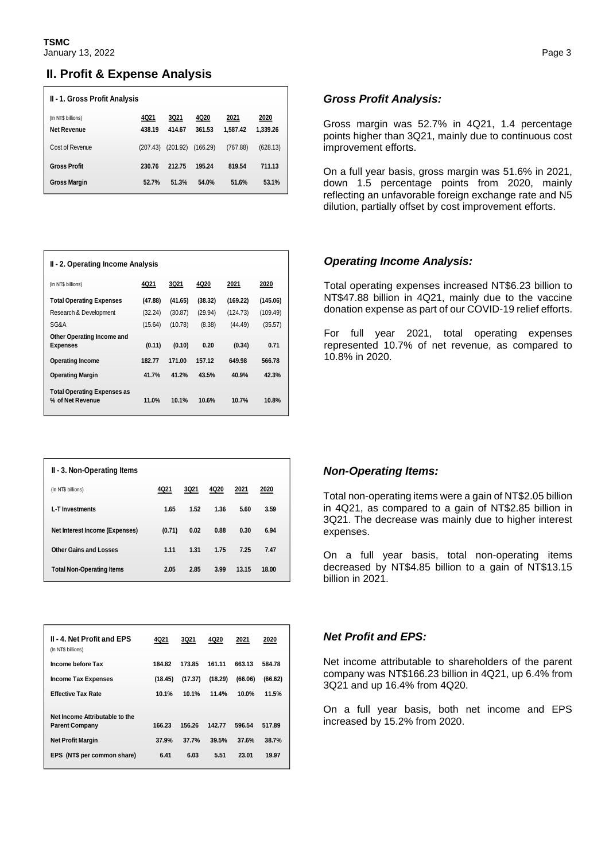# **II. Profit & Expense Analysis**

| II - 1. Gross Profit Analysis     |                |                       |                |                  |                  |  |
|-----------------------------------|----------------|-----------------------|----------------|------------------|------------------|--|
| (In NT\$ billions)<br>Net Revenue | 4Q21<br>438.19 | <b>3Q21</b><br>414.67 | 4Q20<br>361.53 | 2021<br>1.587.42 | 2020<br>1,339.26 |  |
| Cost of Revenue                   | (207.43)       | (201.92)              | (166.29)       | (767.88)         | (628.13)         |  |
| <b>Gross Profit</b>               | 230.76         | 212.75                | 195.24         | 819.54           | 711.13           |  |
| <b>Gross Margin</b>               | 52.7%          | 51.3%                 | 54.0%          | 51.6%            | 53.1%            |  |

| II - 2. Operating Income Analysis  |         |         |         |          |          |  |  |
|------------------------------------|---------|---------|---------|----------|----------|--|--|
| (In NT\$ billions)                 | 4Q21    | 3Q21    | 4Q20    | 2021     | 2020     |  |  |
| <b>Total Operating Expenses</b>    | (47.88) | (41.65) | (38.32) | (169.22) | (145.06) |  |  |
| Research & Development             | (32.24) | (30.87) | (29.94) | (124.73) | (109.49) |  |  |
| SG&A                               | (15.64) | (10.78) | (8.38)  | (44.49)  | (35.57)  |  |  |
| Other Operating Income and         |         |         |         |          |          |  |  |
| <b>Expenses</b>                    | (0.11)  | (0.10)  | 0.20    | (0.34)   | 0.71     |  |  |
| <b>Operating Income</b>            | 182.77  | 171.00  | 157.12  | 649.98   | 566.78   |  |  |
| <b>Operating Margin</b>            | 41.7%   | 41.2%   | 43.5%   | 40.9%    | 42.3%    |  |  |
| <b>Total Operating Expenses as</b> |         |         |         |          |          |  |  |
| % of Net Revenue                   | 11.0%   | 10.1%   | 10.6%   | 10.7%    | 10.8%    |  |  |

| II - 3. Non-Operating Items      |        |      |      |       |       |  |
|----------------------------------|--------|------|------|-------|-------|--|
| (In NT\$ billions)               | 4Q21   | 3Q21 | 4Q20 | 2021  | 2020  |  |
| L-T Investments                  | 1.65   | 1.52 | 1.36 | 5.60  | 3.59  |  |
| Net Interest Income (Expenses)   | (0.71) | 0.02 | 0.88 | 0.30  | 6.94  |  |
| Other Gains and Losses           | 1.11   | 1.31 | 1.75 | 7.25  | 7.47  |  |
| <b>Total Non-Operating Items</b> | 2.05   | 2.85 | 3.99 | 13.15 | 18.00 |  |

| <b>II - 4. Net Profit and EPS</b><br>(In NT\$ billions) | 4Q21    | <b>3Q21</b> | 4Q20    | 2021    | 2020    |
|---------------------------------------------------------|---------|-------------|---------|---------|---------|
| Income before Tax                                       | 184.82  | 173.85      | 161.11  | 663.13  | 584.78  |
| <b>Income Tax Expenses</b>                              | (18.45) | (17.37)     | (18.29) | (66.06) | (66.62) |
| <b>Effective Tax Rate</b>                               | 10.1%   | 10.1%       | 11.4%   | 10.0%   | 11.5%   |
| Net Income Attributable to the                          |         |             |         |         |         |
| <b>Parent Company</b>                                   | 166.23  | 156.26      | 142.77  | 596.54  | 517.89  |
| <b>Net Profit Margin</b>                                | 37.9%   | 37.7%       | 39.5%   | 37.6%   | 38.7%   |
| EPS (NT\$ per common share)                             | 6.41    | 6.03        | 5.51    | 23.01   | 19.97   |

#### *Gross Profit Analysis:*

Gross margin was 52.7% in 4Q21, 1.4 percentage points higher than 3Q21, mainly due to continuous cost improvement efforts.

On a full year basis, gross margin was 51.6% in 2021, down 1.5 percentage points from 2020, mainly reflecting an unfavorable foreign exchange rate and N5 dilution, partially offset by cost improvement efforts.

#### *Operating Income Analysis:*

Total operating expenses increased NT\$6.23 billion to NT\$47.88 billion in 4Q21, mainly due to the vaccine donation expense as part of our COVID-19 relief efforts.

For full year 2021, total operating expenses represented 10.7% of net revenue, as compared to 10.8% in 2020.

#### *Non-Operating Items:*

Total non-operating items were a gain of NT\$2.05 billion in 4Q21, as compared to a gain of NT\$2.85 billion in 3Q21. The decrease was mainly due to higher interest expenses.

On a full year basis, total non-operating items decreased by NT\$4.85 billion to a gain of NT\$13.15 billion in 2021.

#### *Net Profit and EPS:*

Net income attributable to shareholders of the parent company was NT\$166.23 billion in 4Q21, up 6.4% from 3Q21 and up 16.4% from 4Q20.

On a full year basis, both net income and EPS increased by 15.2% from 2020.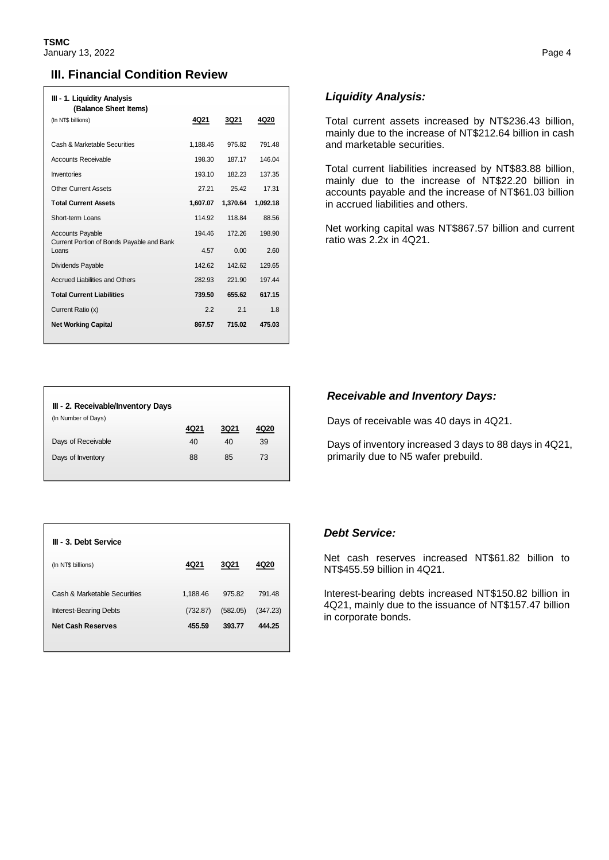## **III. Financial Condition Review**

| III - 1. Liquidity Analysis<br>(Balance Sheet Items)                 |          |             |          |
|----------------------------------------------------------------------|----------|-------------|----------|
| (In NT\$ billions)                                                   | 4Q21     | <b>3Q21</b> | 4Q20     |
| Cash & Marketable Securities                                         | 1,188.46 | 975.82      | 791.48   |
| Accounts Receivable                                                  | 198.30   | 187.17      | 146.04   |
| Inventories                                                          | 193.10   | 182.23      | 137.35   |
| <b>Other Current Assets</b>                                          | 27.21    | 25.42       | 17.31    |
| <b>Total Current Assets</b>                                          | 1,607.07 | 1,370.64    | 1.092.18 |
| Short-term Loans                                                     | 114 92   | 118.84      | 88.56    |
| <b>Accounts Payable</b><br>Current Portion of Bonds Payable and Bank | 194 46   | 172 26      | 198.90   |
| Loans                                                                | 4.57     | 0.00        | 2.60     |
| Dividends Payable                                                    | 142.62   | 142.62      | 129.65   |
| <b>Accrued Liabilities and Others</b>                                | 282.93   | 221.90      | 197.44   |
| <b>Total Current Liabilities</b>                                     | 739.50   | 655.62      | 617.15   |
| Current Ratio (x)                                                    | 2.2      | 2.1         | 1.8      |
| <b>Net Working Capital</b>                                           | 867.57   | 715.02      | 475.03   |

### *Liquidity Analysis:*

Total current assets increased by NT\$236.43 billion, mainly due to the increase of NT\$212.64 billion in cash and marketable securities.

Total current liabilities increased by NT\$83.88 billion, mainly due to the increase of NT\$22.20 billion in accounts payable and the increase of NT\$61.03 billion in accrued liabilities and others.

Net working capital was NT\$867.57 billion and current ratio was 2.2x in 4Q21.

| III - 2. Receivable/Inventory Days |      |             |      |
|------------------------------------|------|-------------|------|
| (In Number of Days)                |      |             |      |
|                                    | 4Q21 | <b>3Q21</b> | 4Q20 |
| Days of Receivable                 | 40   | 40          | 39   |
| Days of Inventory                  | 88   | 85          | 73   |
|                                    |      |             |      |

| III - 3. Debt Service         |          |             |          |
|-------------------------------|----------|-------------|----------|
| (In NT\$ billions)            | 4Q21     | <b>3Q21</b> | 4Q20     |
| Cash & Marketable Securities  | 1,188.46 | 975.82      | 791.48   |
| <b>Interest-Bearing Debts</b> | (732.87) | (582.05)    | (347.23) |
| <b>Net Cash Reserves</b>      | 455.59   | 393.77      | 444.25   |

### *Receivable and Inventory Days:*

Days of receivable was 40 days in 4Q21.

Days of inventory increased 3 days to 88 days in 4Q21, primarily due to N5 wafer prebuild.

#### *Debt Service:*

Net cash reserves increased NT\$61.82 billion to NT\$455.59 billion in 4Q21.

Interest-bearing debts increased NT\$150.82 billion in 4Q21, mainly due to the issuance of NT\$157.47 billion in corporate bonds.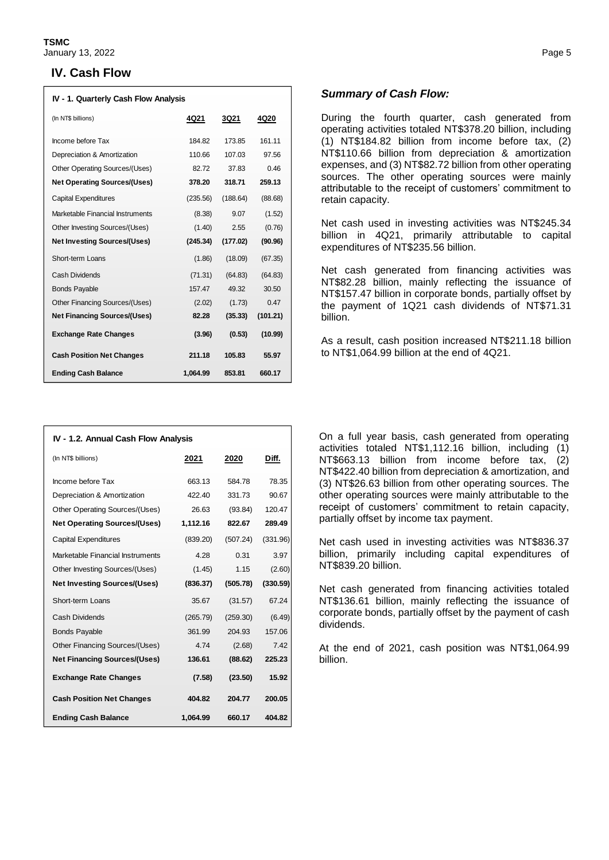#### **IV. Cash Flow**

| IV - 1. Quarterly Cash Flow Analysis |              |          |          |  |  |
|--------------------------------------|--------------|----------|----------|--|--|
| (In NT\$ billions)                   | 4Q21<br>3Q21 |          | 4Q20     |  |  |
| Income before Tax                    | 184.82       | 173.85   | 161.11   |  |  |
| Depreciation & Amortization          | 110.66       | 107.03   | 97.56    |  |  |
| Other Operating Sources/(Uses)       | 82.72        | 37.83    | 0.46     |  |  |
| <b>Net Operating Sources/(Uses)</b>  | 378.20       | 318.71   | 259.13   |  |  |
| <b>Capital Expenditures</b>          | (235.56)     | (188.64) | (88.68)  |  |  |
| Marketable Financial Instruments     | (8.38)       | 9.07     | (1.52)   |  |  |
| Other Investing Sources/(Uses)       | (1.40)       | 2.55     | (0.76)   |  |  |
| <b>Net Investing Sources/(Uses)</b>  | (245.34)     | (177.02) | (90.96)  |  |  |
| Short-term Loans                     | (1.86)       | (18.09)  | (67.35)  |  |  |
| Cash Dividends                       | (71.31)      | (64.83)  | (64.83)  |  |  |
| <b>Bonds Payable</b>                 | 157.47       | 49.32    | 30.50    |  |  |
| Other Financing Sources/(Uses)       | (2.02)       | (1.73)   | 0.47     |  |  |
| <b>Net Financing Sources/(Uses)</b>  | 82.28        | (35.33)  | (101.21) |  |  |
| <b>Exchange Rate Changes</b>         | (3.96)       | (0.53)   | (10.99)  |  |  |
| <b>Cash Position Net Changes</b>     | 211.18       | 105.83   | 55.97    |  |  |
| <b>Ending Cash Balance</b>           | 1.064.99     | 853.81   | 660.17   |  |  |

| IV - 1.2. Annual Cash Flow Analysis |          |          |          |  |  |
|-------------------------------------|----------|----------|----------|--|--|
| (In NT\$ billions)                  | 2021     | 2020     | Diff.    |  |  |
| Income before Tax                   | 663.13   | 584.78   | 78.35    |  |  |
| Depreciation & Amortization         | 422.40   | 331.73   | 90.67    |  |  |
| Other Operating Sources/(Uses)      | 26.63    | (93.84)  | 120.47   |  |  |
| <b>Net Operating Sources/(Uses)</b> | 1,112.16 | 822.67   | 289.49   |  |  |
| <b>Capital Expenditures</b>         | (839.20) | (507.24) | (331.96) |  |  |
| Marketable Financial Instruments    | 4.28     | 0.31     | 3.97     |  |  |
| Other Investing Sources/(Uses)      | (1.45)   | 1.15     | (2.60)   |  |  |
| <b>Net Investing Sources/(Uses)</b> | (836.37) | (505.78) | (330.59) |  |  |
| Short-term Loans                    | 35.67    | (31.57)  | 67.24    |  |  |
| Cash Dividends                      | (265.79) | (259.30) | (6.49)   |  |  |
| <b>Bonds Payable</b>                | 361.99   | 204.93   | 157.06   |  |  |
| Other Financing Sources/(Uses)      | 4.74     | (2.68)   | 7.42     |  |  |
| <b>Net Financing Sources/(Uses)</b> | 136.61   | (88.62)  | 225.23   |  |  |
| <b>Exchange Rate Changes</b>        | (7.58)   | (23.50)  | 15.92    |  |  |
| <b>Cash Position Net Changes</b>    | 404.82   | 204.77   | 200.05   |  |  |
| <b>Ending Cash Balance</b>          | 1,064.99 | 660.17   | 404.82   |  |  |

#### *Summary of Cash Flow:*

During the fourth quarter, cash generated from operating activities totaled NT\$378.20 billion, including (1) NT\$184.82 billion from income before tax, (2) NT\$110.66 billion from depreciation & amortization expenses, and (3) NT\$82.72 billion from other operating sources. The other operating sources were mainly attributable to the receipt of customers' commitment to retain capacity.

Net cash used in investing activities was NT\$245.34 billion in 4Q21, primarily attributable to capital expenditures of NT\$235.56 billion.

Net cash generated from financing activities was NT\$82.28 billion, mainly reflecting the issuance of NT\$157.47 billion in corporate bonds, partially offset by the payment of 1Q21 cash dividends of NT\$71.31 billion.

As a result, cash position increased NT\$211.18 billion to NT\$1,064.99 billion at the end of 4Q21.

On a full year basis, cash generated from operating activities totaled NT\$1,112.16 billion, including (1) NT\$663.13 billion from income before tax, (2) NT\$422.40 billion from depreciation & amortization, and (3) NT\$26.63 billion from other operating sources. The other operating sources were mainly attributable to the receipt of customers' commitment to retain capacity, partially offset by income tax payment.

Net cash used in investing activities was NT\$836.37 billion, primarily including capital expenditures of NT\$839.20 billion.

Net cash generated from financing activities totaled NT\$136.61 billion, mainly reflecting the issuance of corporate bonds, partially offset by the payment of cash dividends.

At the end of 2021, cash position was NT\$1,064.99 billion.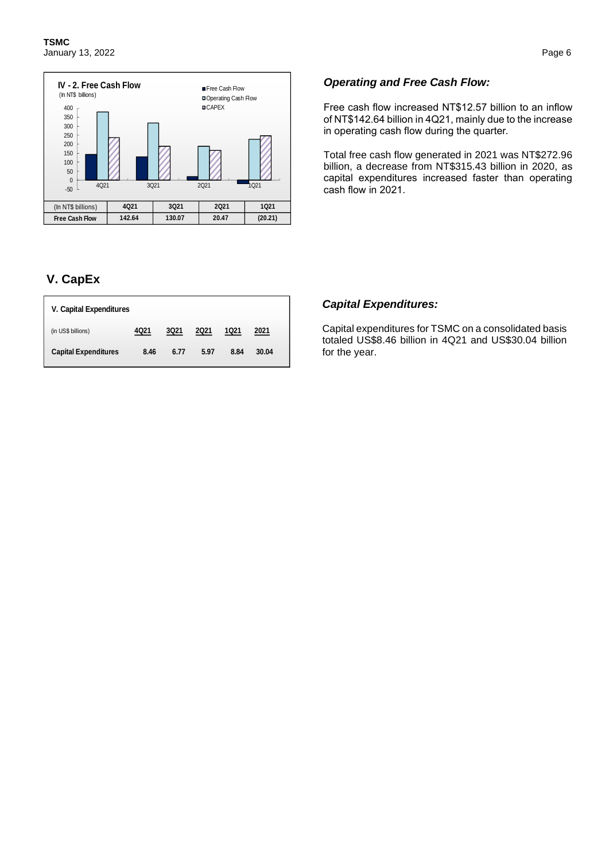

# **V. CapEx**

| V. Capital Expenditures     |      |             |      |      |       |  |
|-----------------------------|------|-------------|------|------|-------|--|
| (in US\$ billions)          | 4021 | <b>3Q21</b> | 2021 | 1021 | 2021  |  |
| <b>Capital Expenditures</b> | 8.46 | 6.77        | 5.97 | 8.84 | 30.04 |  |

#### *Operating and Free Cash Flow:*

Free cash flow increased NT\$12.57 billion to an inflow of NT\$142.64 billion in 4Q21, mainly due to the increase in operating cash flow during the quarter.

Total free cash flow generated in 2021 was NT\$272.96 billion, a decrease from NT\$315.43 billion in 2020, as capital expenditures increased faster than operating cash flow in 2021.

#### *Capital Expenditures:*

Capital expenditures for TSMC on a consolidated basis totaled US\$8.46 billion in 4Q21 and US\$30.04 billion for the year.